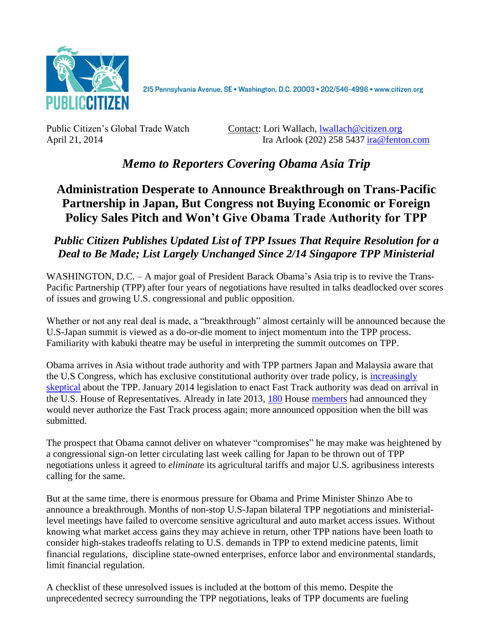

2I5 Pennsylvania Avenue, SE · Washington, D.C. 20003 · 202/546-4996 · www.citizen.org

Public Citizen's Global Trade Watch Contact: Lori Wallach, [lwallach@citizen.org](mailto:lwallach@citizen.org) April 21, 2014 Ira Arlook (202) 258 5437 [ira@fenton.com](mailto:ira@fenton.com)

# *Memo to Reporters Covering Obama Asia Trip*

## **Administration Desperate to Announce Breakthrough on Trans-Pacific Partnership in Japan, But Congress not Buying Economic or Foreign Policy Sales Pitch and Won't Give Obama Trade Authority for TPP**

## *Public Citizen Publishes Updated List of TPP Issues That Require Resolution for a Deal to Be Made; List Largely Unchanged Since 2/14 Singapore TPP Ministerial*

WASHINGTON, D.C. – A major goal of President Barack Obama's Asia trip is to revive the Trans-Pacific Partnership (TPP) after four years of negotiations have resulted in talks deadlocked over scores of issues and growing U.S. congressional and public opposition.

Whether or not any real deal is made, a "breakthrough" almost certainly will be announced because the U.S-Japan summit is viewed as a do-or-die moment to inject momentum into the TPP process. Familiarity with kabuki theatre may be useful in interpreting the summit outcomes on TPP.

Obama arrives in Asia without trade authority and with TPP partners Japan and Malaysia aware that the U.S Congress, which has exclusive constitutional authority over trade policy, is [increasingly](http://www.citizen.org/documents/Obama-Asia-Trip-4-16-14-Press-Call.pdf)  [skeptical](http://www.citizen.org/documents/Obama-Asia-Trip-4-16-14-Press-Call.pdf) about the TPP. January 2014 legislation to enact Fast Track authority was dead on arrival in the U.S. House of Representatives. Already in late 2013, [180](http://www.citizen.org/documents/Obama-Asia-Trip-4-16-14-Press-Call.pdf) House [members](http://jones.house.gov/press-release/gop-house-members-oppose-fast-track-trade-promotion-authority) had announced they would never authorize the Fast Track process again; more announced opposition when the bill was submitted.

The prospect that Obama cannot deliver on whatever "compromises" he may make was heightened by a congressional sign-on letter circulating last week calling for Japan to be thrown out of TPP negotiations unless it agreed to *eliminate* its agricultural tariffs and major U.S. agribusiness interests calling for the same.

But at the same time, there is enormous pressure for Obama and Prime Minister Shinzo Abe to announce a breakthrough. Months of non-stop U.S-Japan bilateral TPP negotiations and ministeriallevel meetings have failed to overcome sensitive agricultural and auto market access issues. Without knowing what market access gains they may achieve in return, other TPP nations have been loath to consider high-stakes tradeoffs relating to U.S. demands in TPP to extend medicine patents, limit financial regulations, discipline state-owned enterprises, enforce labor and environmental standards, limit financial regulation.

A checklist of these unresolved issues is included at the bottom of this memo. Despite the unprecedented secrecy surrounding the TPP negotiations, leaks of TPP documents are fueling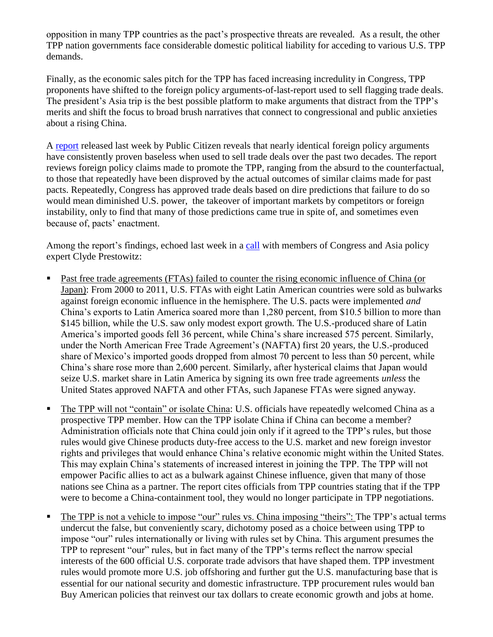opposition in many TPP countries as the pact's prospective threats are revealed. As a result, the other TPP nation governments face considerable domestic political liability for acceding to various U.S. TPP demands.

Finally, as the economic sales pitch for the TPP has faced increasing incredulity in Congress, TPP proponents have shifted to the foreign policy arguments-of-last-report used to sell flagging trade deals. The president's Asia trip is the best possible platform to make arguments that distract from the TPP's merits and shift the focus to broad brush narratives that connect to congressional and public anxieties about a rising China.

A [report](http://www.citizen.org/documents/TPP-foreign-policy.pdf) released last week by Public Citizen reveals that nearly identical foreign policy arguments have consistently proven baseless when used to sell trade deals over the past two decades. The report reviews foreign policy claims made to promote the TPP, ranging from the absurd to the counterfactual, to those that repeatedly have been disproved by the actual outcomes of similar claims made for past pacts. Repeatedly, Congress has approved trade deals based on dire predictions that failure to do so would mean diminished U.S. power, the takeover of important markets by competitors or foreign instability, only to find that many of those predictions came true in spite of, and sometimes even because of, pacts' enactment.

Among the report's findings, echoed last week in a [call](http://www.citizen.org/documents/Obama-Asia-Trip-4-16-14-Press-Call.pdf) with members of Congress and Asia policy expert Clyde Prestowitz:

- **Past free trade agreements (FTAs) failed to counter the rising economic influence of China (or** Japan): From 2000 to 2011, U.S. FTAs with eight Latin American countries were sold as bulwarks against foreign economic influence in the hemisphere. The U.S. pacts were implemented *and* China's exports to Latin America soared more than 1,280 percent, from \$10.5 billion to more than \$145 billion, while the U.S. saw only modest export growth. The U.S.-produced share of Latin America's imported goods fell 36 percent, while China's share increased 575 percent. Similarly, under the North American Free Trade Agreement's (NAFTA) first 20 years, the U.S.-produced share of Mexico's imported goods dropped from almost 70 percent to less than 50 percent, while China's share rose more than 2,600 percent. Similarly, after hysterical claims that Japan would seize U.S. market share in Latin America by signing its own free trade agreements *unless* the United States approved NAFTA and other FTAs, such Japanese FTAs were signed anyway.
- The TPP will not "contain" or isolate China: U.S. officials have repeatedly welcomed China as a prospective TPP member. How can the TPP isolate China if China can become a member? Administration officials note that China could join only if it agreed to the TPP's rules, but those rules would give Chinese products duty-free access to the U.S. market and new foreign investor rights and privileges that would enhance China's relative economic might within the United States. This may explain China's statements of increased interest in joining the TPP. The TPP will not empower Pacific allies to act as a bulwark against Chinese influence, given that many of those nations see China as a partner. The report cites officials from TPP countries stating that if the TPP were to become a China-containment tool, they would no longer participate in TPP negotiations.
- The TPP is not a vehicle to impose "our" rules vs. China imposing "theirs": The TPP's actual terms undercut the false, but conveniently scary, dichotomy posed as a choice between using TPP to impose "our" rules internationally or living with rules set by China. This argument presumes the TPP to represent "our" rules, but in fact many of the TPP's terms reflect the narrow special interests of the 600 official U.S. corporate trade advisors that have shaped them. TPP investment rules would promote more U.S. job offshoring and further gut the U.S. manufacturing base that is essential for our national security and domestic infrastructure. TPP procurement rules would ban Buy American policies that reinvest our tax dollars to create economic growth and jobs at home.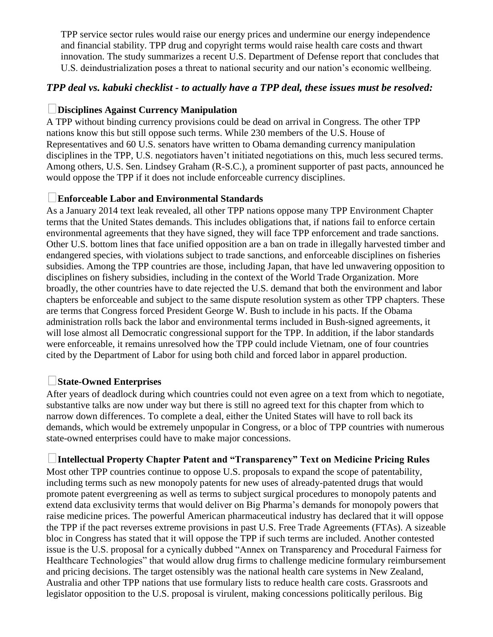TPP service sector rules would raise our energy prices and undermine our energy independence and financial stability. TPP drug and copyright terms would raise health care costs and thwart innovation. The study summarizes a recent U.S. Department of Defense report that concludes that U.S. deindustrialization poses a threat to national security and our nation's economic wellbeing.

#### *TPP deal vs. kabuki checklist - to actually have a TPP deal, these issues must be resolved:*

#### **Disciplines Against Currency Manipulation**

A TPP without binding currency provisions could be dead on arrival in Congress. The other TPP nations know this but still oppose such terms. While 230 members of the U.S. House of Representatives and 60 U.S. senators have written to Obama demanding currency manipulation disciplines in the TPP, U.S. negotiators haven't initiated negotiations on this, much less secured terms. Among others, U.S. Sen. Lindsey Graham (R-S.C.), a prominent supporter of past pacts, announced he would oppose the TPP if it does not include enforceable currency disciplines.

#### **Enforceable Labor and Environmental Standards**

As a January 2014 text leak revealed, all other TPP nations oppose many TPP Environment Chapter terms that the United States demands. This includes obligations that, if nations fail to enforce certain environmental agreements that they have signed, they will face TPP enforcement and trade sanctions. Other U.S. bottom lines that face unified opposition are a ban on trade in illegally harvested timber and endangered species, with violations subject to trade sanctions, and enforceable disciplines on fisheries subsidies. Among the TPP countries are those, including Japan, that have led unwavering opposition to disciplines on fishery subsidies, including in the context of the World Trade Organization. More broadly, the other countries have to date rejected the U.S. demand that both the environment and labor chapters be enforceable and subject to the same dispute resolution system as other TPP chapters. These are terms that Congress forced President George W. Bush to include in his pacts. If the Obama administration rolls back the labor and environmental terms included in Bush-signed agreements, it will lose almost all Democratic congressional support for the TPP. In addition, if the labor standards were enforceable, it remains unresolved how the TPP could include Vietnam, one of four countries cited by the Department of Labor for using both child and forced labor in apparel production.

#### **State-Owned Enterprises**

After years of deadlock during which countries could not even agree on a text from which to negotiate, substantive talks are now under way but there is still no agreed text for this chapter from which to narrow down differences. To complete a deal, either the United States will have to roll back its demands, which would be extremely unpopular in Congress, or a bloc of TPP countries with numerous state-owned enterprises could have to make major concessions.

#### **Intellectual Property Chapter Patent and "Transparency" Text on Medicine Pricing Rules**

Most other TPP countries continue to oppose U.S. proposals to expand the scope of patentability, including terms such as new monopoly patents for new uses of already-patented drugs that would promote patent evergreening as well as terms to subject surgical procedures to monopoly patents and extend data exclusivity terms that would deliver on Big Pharma's demands for monopoly powers that raise medicine prices. The powerful American pharmaceutical industry has declared that it will oppose the TPP if the pact reverses extreme provisions in past U.S. Free Trade Agreements (FTAs). A sizeable bloc in Congress has stated that it will oppose the TPP if such terms are included. Another contested issue is the U.S. proposal for a cynically dubbed "Annex on Transparency and Procedural Fairness for Healthcare Technologies" that would allow drug firms to challenge medicine formulary reimbursement and pricing decisions. The target ostensibly was the national health care systems in New Zealand, Australia and other TPP nations that use formulary lists to reduce health care costs. Grassroots and legislator opposition to the U.S. proposal is virulent, making concessions politically perilous. Big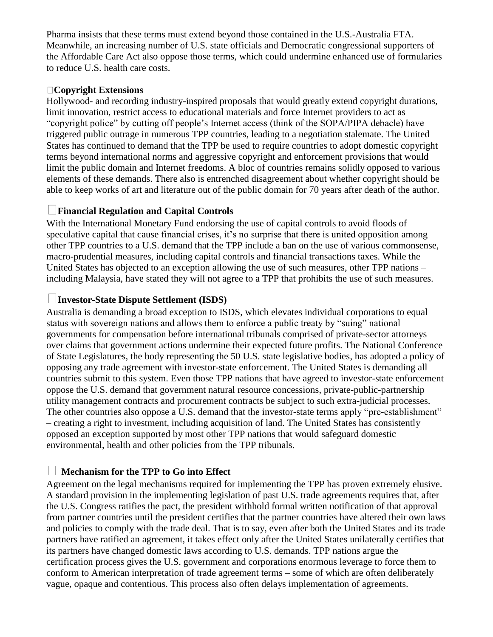Pharma insists that these terms must extend beyond those contained in the U.S.-Australia FTA. Meanwhile, an increasing number of U.S. state officials and Democratic congressional supporters of the Affordable Care Act also oppose those terms, which could undermine enhanced use of formularies to reduce U.S. health care costs.

#### **Copyright Extensions**

Hollywood- and recording industry-inspired proposals that would greatly extend copyright durations, limit innovation, restrict access to educational materials and force Internet providers to act as "copyright police" by cutting off people's Internet access (think of the SOPA/PIPA debacle) have triggered public outrage in numerous TPP countries, leading to a negotiation stalemate. The United States has continued to demand that the TPP be used to require countries to adopt domestic copyright terms beyond international norms and aggressive copyright and enforcement provisions that would limit the public domain and Internet freedoms. A bloc of countries remains solidly opposed to various elements of these demands. There also is entrenched disagreement about whether copyright should be able to keep works of art and literature out of the public domain for 70 years after death of the author.

#### $\vert \ \ \vert$ **Financial Regulation and Capital Controls**

With the International Monetary Fund endorsing the use of capital controls to avoid floods of speculative capital that cause financial crises, it's no surprise that there is united opposition among other TPP countries to a U.S. demand that the TPP include a ban on the use of various commonsense, macro-prudential measures, including capital controls and financial transactions taxes. While the United States has objected to an exception allowing the use of such measures, other TPP nations – including Malaysia, have stated they will not agree to a TPP that prohibits the use of such measures.

#### **Investor-State Dispute Settlement (ISDS)**

Australia is demanding a broad exception to ISDS, which elevates individual corporations to equal status with sovereign nations and allows them to enforce a public treaty by "suing" national governments for compensation before international tribunals comprised of private-sector attorneys over claims that government actions undermine their expected future profits. The National Conference of State Legislatures, the body representing the 50 U.S. state legislative bodies, has adopted a policy of opposing any trade agreement with investor-state enforcement. The United States is demanding all countries submit to this system. Even those TPP nations that have agreed to investor-state enforcement oppose the U.S. demand that government natural resource concessions, private-public-partnership utility management contracts and procurement contracts be subject to such extra-judicial processes. The other countries also oppose a U.S. demand that the investor-state terms apply "pre-establishment" – creating a right to investment, including acquisition of land. The United States has consistently opposed an exception supported by most other TPP nations that would safeguard domestic environmental, health and other policies from the TPP tribunals.

### **Mechanism for the TPP to Go into Effect**

Agreement on the legal mechanisms required for implementing the TPP has proven extremely elusive. A standard provision in the implementing legislation of past U.S. trade agreements requires that, after the U.S. Congress ratifies the pact, the president withhold formal written notification of that approval from partner countries until the president certifies that the partner countries have altered their own laws and policies to comply with the trade deal. That is to say, even after both the United States and its trade partners have ratified an agreement, it takes effect only after the United States unilaterally certifies that its partners have changed domestic laws according to U.S. demands. TPP nations argue the certification process gives the U.S. government and corporations enormous leverage to force them to conform to American interpretation of trade agreement terms – some of which are often deliberately vague, opaque and contentious. This process also often delays implementation of agreements.